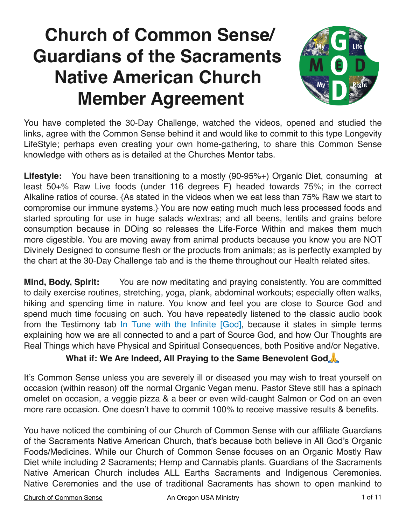# **Church of Common Sense/ Guardians of the Sacraments Native American Church Member Agreement**



You have completed the 30-Day Challenge, watched the videos, opened and studied the links, agree with the Common Sense behind it and would like to commit to this type Longevity LifeStyle; perhaps even creating your own home-gathering, to share this Common Sense knowledge with others as is detailed at the Churches Mentor tabs.

**Lifestyle:** You have been transitioning to a mostly (90-95%+) Organic Diet, consuming at least 50+% Raw Live foods (under 116 degrees F) headed towards 75%; in the correct Alkaline ratios of course. {As stated in the videos when we eat less than 75% Raw we start to compromise our immune systems.} You are now eating much much less processed foods and started sprouting for use in huge salads w/extras; and all beens, lentils and grains before consumption because in DOing so releases the Life-Force Within and makes them much more digestible. You are moving away from animal products because you know you are NOT Divinely Designed to consume flesh or the products from animals; as is perfectly exampled by the chart at the 30-Day Challenge tab and is the theme throughout our Health related sites.

**Mind, Body, Spirit:** You are now meditating and praying consistently. You are committed to daily exercise routines, stretching, yoga, plank, abdominal workouts; especially often walks, hiking and spending time in nature. You know and feel you are close to Source God and spend much time focusing on such. You have repeatedly listened to the classic audio book from the Testimony tab [In Tune with the Infinite \[God\]](https://archive.org/details/intuneinfinite_1304_librivox), because it states in simple terms explaining how we are all connected to and a part of Source God, and how Our Thoughts are Real Things which have Physical and Spiritual Consequences, both Positive and/or Negative.

#### **What if: We Are Indeed, All Praying to the Same Benevolent God**

It's Common Sense unless you are severely ill or diseased you may wish to treat yourself on occasion (within reason) off the normal Organic Vegan menu. Pastor Steve still has a spinach omelet on occasion, a veggie pizza & a beer or even wild-caught Salmon or Cod on an even more rare occasion. One doesn't have to commit 100% to receive massive results & benefits.

You have noticed the combining of our Church of Common Sense with our affiliate Guardians of the Sacraments Native American Church, that's because both believe in All God's Organic Foods/Medicines. While our Church of Common Sense focuses on an Organic Mostly Raw Diet while including 2 Sacraments; Hemp and Cannabis plants. Guardians of the Sacraments Native American Church includes ALL Earths Sacraments and Indigenous Ceremonies. Native Ceremonies and the use of traditional Sacraments has shown to open mankind to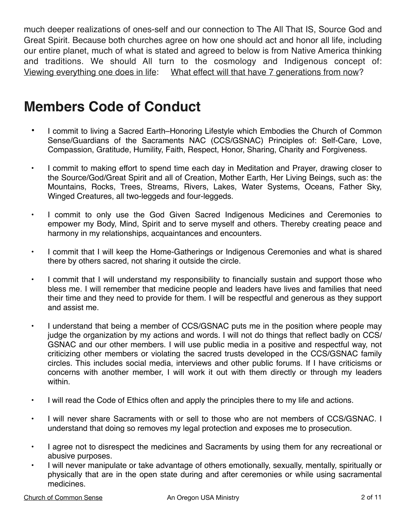much deeper realizations of ones-self and our connection to The All That IS, Source God and Great Spirit. Because both churches agree on how one should act and honor all life, including our entire planet, much of what is stated and agreed to below is from Native America thinking and traditions. We should All turn to the cosmology and Indigenous concept of: Viewing everything one does in life: What effect will that have 7 generations from now?

# **Members Code of Conduct**

- I commit to living a Sacred Earth–Honoring Lifestyle which Embodies the Church of Common Sense/Guardians of the Sacraments NAC (CCS/GSNAC) Principles of: Self-Care, Love, Compassion, Gratitude, Humility, Faith, Respect, Honor, Sharing, Charity and Forgiveness.
- I commit to making effort to spend time each day in Meditation and Prayer, drawing closer to the Source/God/Great Spirit and all of Creation, Mother Earth, Her Living Beings, such as: the Mountains, Rocks, Trees, Streams, Rivers, Lakes, Water Systems, Oceans, Father Sky, Winged Creatures, all two-leggeds and four-leggeds.
- I commit to only use the God Given Sacred Indigenous Medicines and Ceremonies to empower my Body, Mind, Spirit and to serve myself and others. Thereby creating peace and harmony in my relationships, acquaintances and encounters.
- I commit that I will keep the Home-Gatherings or Indigenous Ceremonies and what is shared there by others sacred, not sharing it outside the circle.
- I commit that I will understand my responsibility to financially sustain and support those who bless me. I will remember that medicine people and leaders have lives and families that need their time and they need to provide for them. I will be respectful and generous as they support and assist me.
- I understand that being a member of CCS/GSNAC puts me in the position where people may judge the organization by my actions and words. I will not do things that reflect badly on CCS/ GSNAC and our other members. I will use public media in a positive and respectful way, not criticizing other members or violating the sacred trusts developed in the CCS/GSNAC family circles. This includes social media, interviews and other public forums. If I have criticisms or concerns with another member, I will work it out with them directly or through my leaders within.
- I will read [the Code of Ethics](https://nativeamericanchurches.org/onac-code-ethics/) often and apply the principles there to my life and actions.
- I will never share Sacraments with or sell to those who are not members of CCS/GSNAC. I understand that doing so removes my legal protection and exposes me to prosecution.
- I agree not to disrespect the medicines and Sacraments by using them for any recreational or abusive purposes.
- I will never manipulate or take advantage of others emotionally, sexually, mentally, spiritually or physically that are in the open state during and after ceremonies or while using sacramental medicines.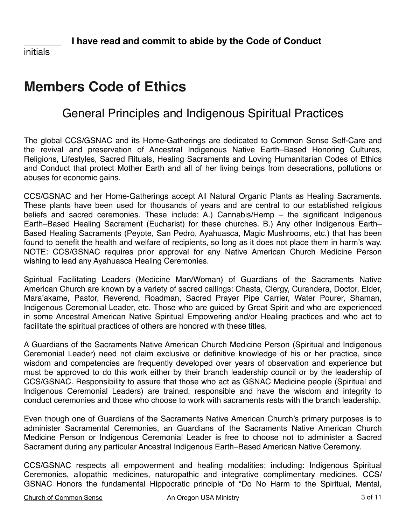initials

# **Members Code of Ethics**

#### General Principles and Indigenous Spiritual Practices

The global CCS/GSNAC and its Home-Gatherings are dedicated to Common Sense Self-Care and the revival and preservation of Ancestral Indigenous Native Earth–Based Honoring Cultures, Religions, Lifestyles, Sacred Rituals, Healing Sacraments and Loving Humanitarian Codes of Ethics and Conduct that protect Mother Earth and all of her living beings from desecrations, pollutions or abuses for economic gains.

CCS/GSNAC and her Home-Gatherings accept All Natural Organic Plants as Healing Sacraments. These plants have been used for thousands of years and are central to our established religious beliefs and sacred ceremonies. These include: A.) Cannabis/Hemp – the significant Indigenous Earth–Based Healing Sacrament (Eucharist) for these churches. B.) Any other Indigenous Earth– Based Healing Sacraments (Peyote, San Pedro, Ayahuasca, Magic Mushrooms, etc.) that has been found to benefit the health and welfare of recipients, so long as it does not place them in harm's way. NOTE: CCS/GSNAC requires prior approval for any Native American Church Medicine Person wishing to lead any Ayahuasca Healing Ceremonies.

Spiritual Facilitating Leaders (Medicine Man/Woman) of Guardians of the Sacraments Native American Church are known by a variety of sacred callings: Chasta, Clergy, Curandera, Doctor, Elder, Mara'akame, Pastor, Reverend, Roadman, Sacred Prayer Pipe Carrier, Water Pourer, Shaman, Indigenous Ceremonial Leader, etc. Those who are guided by Great Spirit and who are experienced in some Ancestral American Native Spiritual Empowering and/or Healing practices and who act to facilitate the spiritual practices of others are honored with these titles.

A Guardians of the Sacraments Native American Church Medicine Person (Spiritual and Indigenous Ceremonial Leader) need not claim exclusive or definitive knowledge of his or her practice, since wisdom and competencies are frequently developed over years of observation and experience but must be approved to do this work either by their branch leadership council or by the leadership of CCS/GSNAC. Responsibility to assure that those who act as GSNAC Medicine people (Spiritual and Indigenous Ceremonial Leaders) are trained, responsible and have the wisdom and integrity to conduct ceremonies and those who choose to work with sacraments rests with the branch leadership.

Even though one of Guardians of the Sacraments Native American Church's primary purposes is to administer Sacramental Ceremonies, an Guardians of the Sacraments Native American Church Medicine Person or Indigenous Ceremonial Leader is free to choose not to administer a Sacred Sacrament during any particular Ancestral Indigenous Earth–Based American Native Ceremony.

CCS/GSNAC respects all empowerment and healing modalities; including: Indigenous Spiritual Ceremonies, allopathic medicines, naturopathic and integrative complimentary medicines. CCS/ GSNAC Honors the fundamental Hippocratic principle of "Do No Harm to the Spiritual, Mental,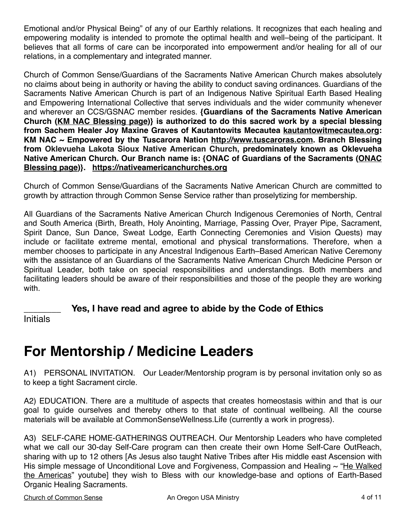Emotional and/or Physical Being" of any of our Earthly relations. It recognizes that each healing and empowering modality is intended to promote the optimal health and well–being of the participant. It believes that all forms of care can be incorporated into empowerment and/or healing for all of our relations, in a complementary and integrated manner.

Church of Common Sense/Guardians of the Sacraments Native American Church makes absolutely no claims about being in authority or having the ability to conduct saving ordinances. Guardians of the Sacraments Native American Church is part of an Indigenous Native Spiritual Earth Based Healing and Empowering International Collective that serves individuals and the wider community whenever and wherever an CCS/GSNAC member resides. **{Guardians of the Sacraments Native American Church ([KM NAC Blessing page\)](https://www.guardiansofthesacramentsnac.com/kwblessing)} is authorized to do this sacred work by a special blessing from Sachem Healer Joy Maxine Graves of Kautantowits Mecautea [kautantowitmecautea.org](http://kautantowitmecautea.org): [KM NAC](http://kautantowitmecautea.org/) ~ Empowered by the Tuscarora Nation <http://www.tuscaroras.com>. Branch Blessing from [Oklevueha Lakota Sioux Native American Church,](https://nativeamericanchurches.org) predominately known as Oklevueha Native American Church. Our Branch name is: {ONAC of Guardians of the Sacraments ([ONAC](https://www.guardiansofthesacramentsnac.com/onac)  [Blessing page](https://www.guardiansofthesacramentsnac.com/onac))}. <https://nativeamericanchurches.org>**

Church of Common Sense/Guardians of the Sacraments Native American Church are committed to growth by attraction through Common Sense Service rather than proselytizing for membership.

All Guardians of the Sacraments Native American Church Indigenous Ceremonies of North, Central and South America (Birth, Breath, Holy Anointing, Marriage, Passing Over, Prayer Pipe, Sacrament, Spirit Dance, Sun Dance, Sweat Lodge, Earth Connecting Ceremonies and Vision Quests) may include or facilitate extreme mental, emotional and physical transformations. Therefore, when a member chooses to participate in any Ancestral Indigenous Earth–Based American Native Ceremony with the assistance of an Guardians of the Sacraments Native American Church Medicine Person or Spiritual Leader, both take on special responsibilities and understandings. Both members and facilitating leaders should be aware of their responsibilities and those of the people they are working with.

Yes, I have read and agree to abide by the Code of Ethics

**Initials** 

### **For Mentorship / Medicine Leaders**

A1) PERSONAL INVITATION. Our Leader/Mentorship program is by personal invitation only so as to keep a tight Sacrament circle.

A2) EDUCATION. There are a multitude of aspects that creates homeostasis within and that is our goal to guide ourselves and thereby others to that state of continual wellbeing. All the course materials will be available at CommonSenseWellness.Life (currently a work in progress).

A3) SELF-CARE HOME-GATHERINGS OUTREACH. Our Mentorship Leaders who have completed what we call our 30-day Self-Care program can then create their own Home Self-Care OutReach, sharing with up to 12 others [As Jesus also taught Native Tribes after His middle east Ascension with His simple message of Unconditional Love and Forgiveness, Compassion and Healing  $\sim$  ["He Walked](https://www.youtube.com/watch?v=veVmaC9eQco) [the Americas"](https://www.youtube.com/watch?v=veVmaC9eQco) youtube] they wish to Bless with our knowledge-base and options of Earth-Based Organic Healing Sacraments.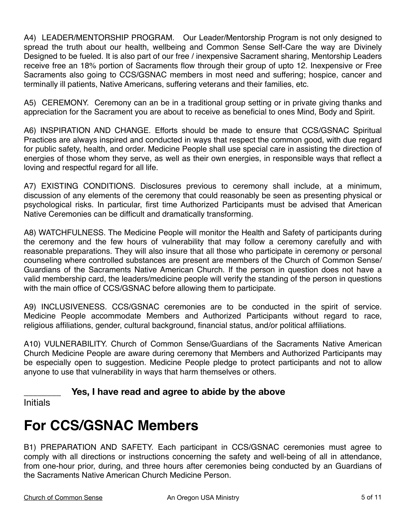A4) LEADER/MENTORSHIP PROGRAM. Our Leader/Mentorship Program is not only designed to spread the truth about our health, wellbeing and Common Sense Self-Care the way are Divinely Designed to be fueled. It is also part of our free / inexpensive Sacrament sharing, Mentorship Leaders receive free an 18% portion of Sacraments flow through their group of upto 12. Inexpensive or Free Sacraments also going to CCS/GSNAC members in most need and suffering; hospice, cancer and terminally ill patients, Native Americans, suffering veterans and their families, etc.

A5) CEREMONY. Ceremony can an be in a traditional group setting or in private giving thanks and appreciation for the Sacrament you are about to receive as beneficial to ones Mind, Body and Spirit.

A6) INSPIRATION AND CHANGE. Efforts should be made to ensure that CCS/GSNAC Spiritual Practices are always inspired and conducted in ways that respect the common good, with due regard for public safety, health, and order. Medicine People shall use special care in assisting the direction of energies of those whom they serve, as well as their own energies, in responsible ways that reflect a loving and respectful regard for all life.

A7) EXISTING CONDITIONS. Disclosures previous to ceremony shall include, at a minimum, discussion of any elements of the ceremony that could reasonably be seen as presenting physical or psychological risks. In particular, first time Authorized Participants must be advised that American Native Ceremonies can be difficult and dramatically transforming.

A8) WATCHFULNESS. The Medicine People will monitor the Health and Safety of participants during the ceremony and the few hours of vulnerability that may follow a ceremony carefully and with reasonable preparations. They will also insure that all those who participate in ceremony or personal counseling where controlled substances are present are members of the Church of Common Sense/ Guardians of the Sacraments Native American Church. If the person in question does not have a valid membership card, the leaders/medicine people will verify the standing of the person in questions with the main office of CCS/GSNAC before allowing them to participate.

A9) INCLUSIVENESS. CCS/GSNAC ceremonies are to be conducted in the spirit of service. Medicine People accommodate Members and Authorized Participants without regard to race, religious affiliations, gender, cultural background, financial status, and/or political affiliations.

A10) VULNERABILITY. Church of Common Sense/Guardians of the Sacraments Native American Church Medicine People are aware during ceremony that Members and Authorized Participants may be especially open to suggestion. Medicine People pledge to protect participants and not to allow anyone to use that vulnerability in ways that harm themselves or others.

#### **\_\_\_\_\_\_\_\_ Yes, I have read and agree to abide by the above**

Initials

# **For CCS/GSNAC Members**

B1) PREPARATION AND SAFETY. Each participant in CCS/GSNAC ceremonies must agree to comply with all directions or instructions concerning the safety and well-being of all in attendance, from one-hour prior, during, and three hours after ceremonies being conducted by an Guardians of the Sacraments Native American Church Medicine Person.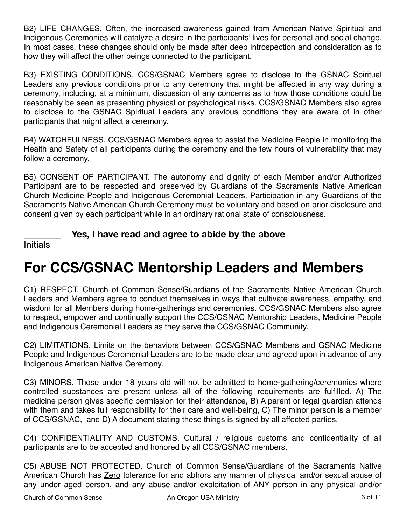B2) LIFE CHANGES. Often, the increased awareness gained from American Native Spiritual and Indigenous Ceremonies will catalyze a desire in the participants' lives for personal and social change. In most cases, these changes should only be made after deep introspection and consideration as to how they will affect the other beings connected to the participant.

B3) EXISTING CONDITIONS. CCS/GSNAC Members agree to disclose to the GSNAC Spiritual Leaders any previous conditions prior to any ceremony that might be affected in any way during a ceremony, including, at a minimum, discussion of any concerns as to how those conditions could be reasonably be seen as presenting physical or psychological risks. CCS/GSNAC Members also agree to disclose to the GSNAC Spiritual Leaders any previous conditions they are aware of in other participants that might affect a ceremony.

B4) WATCHFULNESS. CCS/GSNAC Members agree to assist the Medicine People in monitoring the Health and Safety of all participants during the ceremony and the few hours of vulnerability that may follow a ceremony.

B5) CONSENT OF PARTICIPANT. The autonomy and dignity of each Member and/or Authorized Participant are to be respected and preserved by Guardians of the Sacraments Native American Church Medicine People and Indigenous Ceremonial Leaders. Participation in any Guardians of the Sacraments Native American Church Ceremony must be voluntary and based on prior disclosure and consent given by each participant while in an ordinary rational state of consciousness.

Yes, I have read and agree to abide by the above

Initials

# **For CCS/GSNAC Mentorship Leaders and Members**

C1) RESPECT. Church of Common Sense/Guardians of the Sacraments Native American Church Leaders and Members agree to conduct themselves in ways that cultivate awareness, empathy, and wisdom for all Members during home-gatherings and ceremonies. CCS/GSNAC Members also agree to respect, empower and continually support the CCS/GSNAC Mentorship Leaders, Medicine People and Indigenous Ceremonial Leaders as they serve the CCS/GSNAC Community.

C2) LIMITATIONS. Limits on the behaviors between CCS/GSNAC Members and GSNAC Medicine People and Indigenous Ceremonial Leaders are to be made clear and agreed upon in advance of any Indigenous American Native Ceremony.

C3) MINORS. Those under 18 years old will not be admitted to home-gathering/ceremonies where controlled substances are present unless all of the following requirements are fulfilled. A) The medicine person gives specific permission for their attendance, B) A parent or legal guardian attends with them and takes full responsibility for their care and well-being, C) The minor person is a member of CCS/GSNAC, and D) A document stating these things is signed by all affected parties.

C4) CONFIDENTIALITY AND CUSTOMS. Cultural / religious customs and confidentiality of all participants are to be accepted and honored by all CCS/GSNAC members.

C5) ABUSE NOT PROTECTED. Church of Common Sense/Guardians of the Sacraments Native American Church has Zero tolerance for and abhors any manner of physical and/or sexual abuse of any under aged person, and any abuse and/or exploitation of ANY person in any physical and/or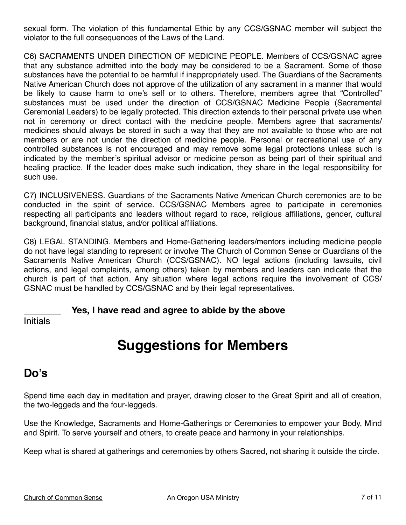sexual form. The violation of this fundamental Ethic by any CCS/GSNAC member will subject the violator to the full consequences of the Laws of the Land.

C6) SACRAMENTS UNDER DIRECTION OF MEDICINE PEOPLE. Members of CCS/GSNAC agree that any substance admitted into the body may be considered to be a Sacrament. Some of those substances have the potential to be harmful if inappropriately used. The Guardians of the Sacraments Native American Church does not approve of the utilization of any sacrament in a manner that would be likely to cause harm to one's self or to others. Therefore, members agree that "Controlled" substances must be used under the direction of CCS/GSNAC Medicine People (Sacramental Ceremonial Leaders) to be legally protected. This direction extends to their personal private use when not in ceremony or direct contact with the medicine people. Members agree that sacraments/ medicines should always be stored in such a way that they are not available to those who are not members or are not under the direction of medicine people. Personal or recreational use of any controlled substances is not encouraged and may remove some legal protections unless such is indicated by the member's spiritual advisor or medicine person as being part of their spiritual and healing practice. If the leader does make such indication, they share in the legal responsibility for such use.

C7) INCLUSIVENESS. Guardians of the Sacraments Native American Church ceremonies are to be conducted in the spirit of service. CCS/GSNAC Members agree to participate in ceremonies respecting all participants and leaders without regard to race, religious affiliations, gender, cultural background, financial status, and/or political affiliations.

C8) LEGAL STANDING. Members and Home-Gathering leaders/mentors including medicine people do not have legal standing to represent or involve The Church of Common Sense or Guardians of the Sacraments Native American Church (CCS/GSNAC). NO legal actions (including lawsuits, civil actions, and legal complaints, among others) taken by members and leaders can indicate that the church is part of that action. Any situation where legal actions require the involvement of CCS/ GSNAC must be handled by CCS/GSNAC and by their legal representatives.

Yes, I have read and agree to abide by the above

Initials

# **Suggestions for Members**

#### **Do's**

Spend time each day in meditation and prayer, drawing closer to the Great Spirit and all of creation, the two-leggeds and the four-leggeds.

Use the Knowledge, Sacraments and Home-Gatherings or Ceremonies to empower your Body, Mind and Spirit. To serve yourself and others, to create peace and harmony in your relationships.

Keep what is shared at gatherings and ceremonies by others Sacred, not sharing it outside the circle.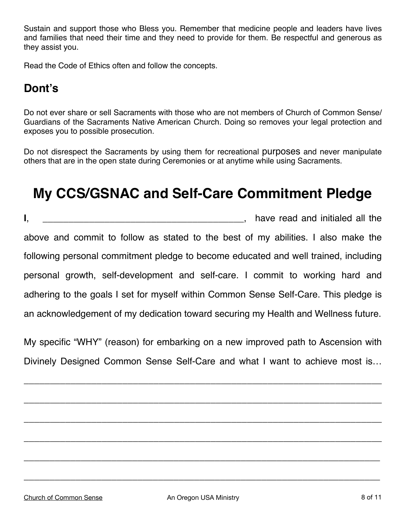Sustain and support those who Bless you. Remember that medicine people and leaders have lives and families that need their time and they need to provide for them. Be respectful and generous as they assist you.

Read the Code of Ethics often and follow the concepts.

#### **Dont's**

Do not ever share or sell Sacraments with those who are not members of Church of Common Sense/ Guardians of the Sacraments Native American Church. Doing so removes your legal protection and exposes you to possible prosecution.

Do not disrespect the Sacraments by using them for recreational purposes and never manipulate others that are in the open state during Ceremonies or at anytime while using Sacraments.

# **My CCS/GSNAC and Self-Care Commitment Pledge**

**I**, \_\_\_\_\_\_\_\_\_\_\_\_\_\_\_\_\_\_\_\_\_\_\_\_\_\_\_\_\_\_\_\_\_\_\_\_\_\_\_, have read and initialed all the above and commit to follow as stated to the best of my abilities. I also make the following personal commitment pledge to become educated and well trained, including personal growth, self-development and self-care. I commit to working hard and adhering to the goals I set for myself within Common Sense Self-Care. This pledge is an acknowledgement of my dedication toward securing my Health and Wellness future.

My specific "WHY" (reason) for embarking on a new improved path to Ascension with Divinely Designed Common Sense Self-Care and what I want to achieve most is…

\_\_\_\_\_\_\_\_\_\_\_\_\_\_\_\_\_\_\_\_\_\_\_\_\_\_\_\_\_\_\_\_\_\_\_\_\_\_\_\_\_\_\_\_\_\_\_\_\_\_\_\_\_\_\_\_\_\_\_\_\_\_\_\_\_\_\_\_\_

\_\_\_\_\_\_\_\_\_\_\_\_\_\_\_\_\_\_\_\_\_\_\_\_\_\_\_\_\_\_\_\_\_\_\_\_\_\_\_\_\_\_\_\_\_\_\_\_\_\_\_\_\_\_\_\_\_\_\_\_\_\_\_\_\_\_\_\_\_

\_\_\_\_\_\_\_\_\_\_\_\_\_\_\_\_\_\_\_\_\_\_\_\_\_\_\_\_\_\_\_\_\_\_\_\_\_\_\_\_\_\_\_\_\_\_\_\_\_\_\_\_\_\_\_\_\_\_\_\_\_\_\_\_\_\_\_\_\_

\_\_\_\_\_\_\_\_\_\_\_\_\_\_\_\_\_\_\_\_\_\_\_\_\_\_\_\_\_\_\_\_\_\_\_\_\_\_\_\_\_\_\_\_\_\_\_\_\_\_\_\_\_\_\_\_\_\_\_\_\_\_\_\_\_\_\_\_\_

\_\_\_\_\_\_\_\_\_\_\_\_\_\_\_\_\_\_\_\_\_\_\_\_\_\_\_\_\_\_\_\_\_\_\_\_\_\_\_\_\_\_\_\_\_\_\_\_\_\_\_\_\_\_\_\_\_\_\_\_\_\_\_\_\_\_\_\_\_

\_\_\_\_\_\_\_\_\_\_\_\_\_\_\_\_\_\_\_\_\_\_\_\_\_\_\_\_\_\_\_\_\_\_\_\_\_\_\_\_\_\_\_\_\_\_\_\_\_\_\_\_\_\_\_\_\_\_\_\_\_\_\_\_\_\_\_\_\_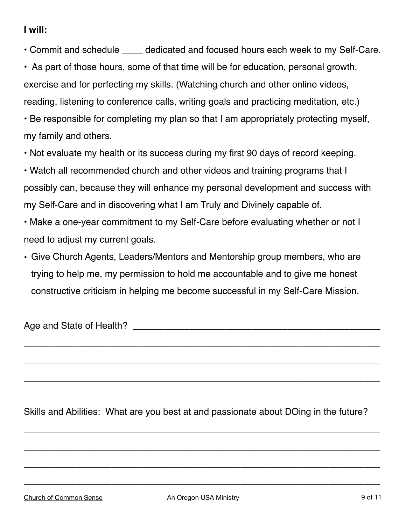#### **I will:**

- Commit and schedule \_\_\_\_ dedicated and focused hours each week to my Self-Care.
- As part of those hours, some of that time will be for education, personal growth, exercise and for perfecting my skills. (Watching church and other online videos, reading, listening to conference calls, writing goals and practicing meditation, etc.)
- Be responsible for completing my plan so that I am appropriately protecting myself, my family and others.
- Not evaluate my health or its success during my first 90 days of record keeping.
- Watch all recommended church and other videos and training programs that I possibly can, because they will enhance my personal development and success with my Self-Care and in discovering what I am Truly and Divinely capable of.
- Make a one-year commitment to my Self-Care before evaluating whether or not I need to adjust my current goals.
- Give Church Agents, Leaders/Mentors and Mentorship group members, who are trying to help me, my permission to hold me accountable and to give me honest constructive criticism in helping me become successful in my Self-Care Mission.

Age and State of Health? And the state of the state of the state of the state of the state of the state of the state of the state of the state of the state of the state of the state of the state of the state of the state o

Skills and Abilities: What are you best at and passionate about DOing in the future?

\_\_\_\_\_\_\_\_\_\_\_\_\_\_\_\_\_\_\_\_\_\_\_\_\_\_\_\_\_\_\_\_\_\_\_\_\_\_\_\_\_\_\_\_\_\_\_\_\_\_\_\_\_\_\_\_\_\_\_\_\_\_\_\_\_\_\_\_\_

\_\_\_\_\_\_\_\_\_\_\_\_\_\_\_\_\_\_\_\_\_\_\_\_\_\_\_\_\_\_\_\_\_\_\_\_\_\_\_\_\_\_\_\_\_\_\_\_\_\_\_\_\_\_\_\_\_\_\_\_\_\_\_\_\_\_\_\_\_

\_\_\_\_\_\_\_\_\_\_\_\_\_\_\_\_\_\_\_\_\_\_\_\_\_\_\_\_\_\_\_\_\_\_\_\_\_\_\_\_\_\_\_\_\_\_\_\_\_\_\_\_\_\_\_\_\_\_\_\_\_\_\_\_\_\_\_\_\_

\_\_\_\_\_\_\_\_\_\_\_\_\_\_\_\_\_\_\_\_\_\_\_\_\_\_\_\_\_\_\_\_\_\_\_\_\_\_\_\_\_\_\_\_\_\_\_\_\_\_\_\_\_\_\_\_\_\_\_\_\_\_\_\_\_\_\_\_\_

\_\_\_\_\_\_\_\_\_\_\_\_\_\_\_\_\_\_\_\_\_\_\_\_\_\_\_\_\_\_\_\_\_\_\_\_\_\_\_\_\_\_\_\_\_\_\_\_\_\_\_\_\_\_\_\_\_\_\_\_\_\_\_\_\_\_\_\_\_

\_\_\_\_\_\_\_\_\_\_\_\_\_\_\_\_\_\_\_\_\_\_\_\_\_\_\_\_\_\_\_\_\_\_\_\_\_\_\_\_\_\_\_\_\_\_\_\_\_\_\_\_\_\_\_\_\_\_\_\_\_\_\_\_\_\_\_\_\_

\_\_\_\_\_\_\_\_\_\_\_\_\_\_\_\_\_\_\_\_\_\_\_\_\_\_\_\_\_\_\_\_\_\_\_\_\_\_\_\_\_\_\_\_\_\_\_\_\_\_\_\_\_\_\_\_\_\_\_\_\_\_\_\_\_\_\_\_\_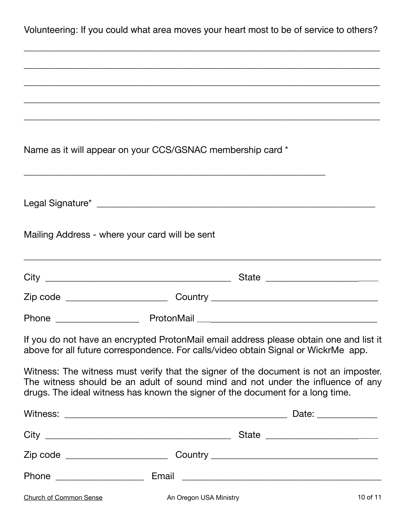| Volunteering: If you could what area moves your heart most to be of service to others? |  |
|----------------------------------------------------------------------------------------|--|
|----------------------------------------------------------------------------------------|--|

\_\_\_\_\_\_\_\_\_\_\_\_\_\_\_\_\_\_\_\_\_\_\_\_\_\_\_\_\_\_\_\_\_\_\_\_\_\_\_\_\_\_\_\_\_\_\_\_\_\_\_\_\_\_\_\_\_\_\_\_\_\_\_\_\_\_\_\_\_

|                                                | Name as it will appear on your CCS/GSNAC membership card *                                                                                                                                                                                                |          |
|------------------------------------------------|-----------------------------------------------------------------------------------------------------------------------------------------------------------------------------------------------------------------------------------------------------------|----------|
|                                                |                                                                                                                                                                                                                                                           |          |
| Mailing Address - where your card will be sent |                                                                                                                                                                                                                                                           |          |
|                                                | <u> 1989 - Johann Stoff, deutscher Stoff, der Stoff, der Stoff, der Stoff, der Stoff, der Stoff, der Stoff, der S</u>                                                                                                                                     |          |
|                                                |                                                                                                                                                                                                                                                           |          |
|                                                |                                                                                                                                                                                                                                                           |          |
|                                                | If you do not have an encrypted ProtonMail email address please obtain one and list it<br>above for all future correspondence. For calls/video obtain Signal or WickrMe app.                                                                              |          |
|                                                | Witness: The witness must verify that the signer of the document is not an imposter.<br>The witness should be an adult of sound mind and not under the influence of any<br>drugs. The ideal witness has known the signer of the document for a long time. |          |
|                                                |                                                                                                                                                                                                                                                           |          |
|                                                |                                                                                                                                                                                                                                                           |          |
|                                                |                                                                                                                                                                                                                                                           |          |
|                                                |                                                                                                                                                                                                                                                           |          |
| <b>Church of Common Sense</b>                  | An Oregon USA Ministry                                                                                                                                                                                                                                    | 10 of 11 |